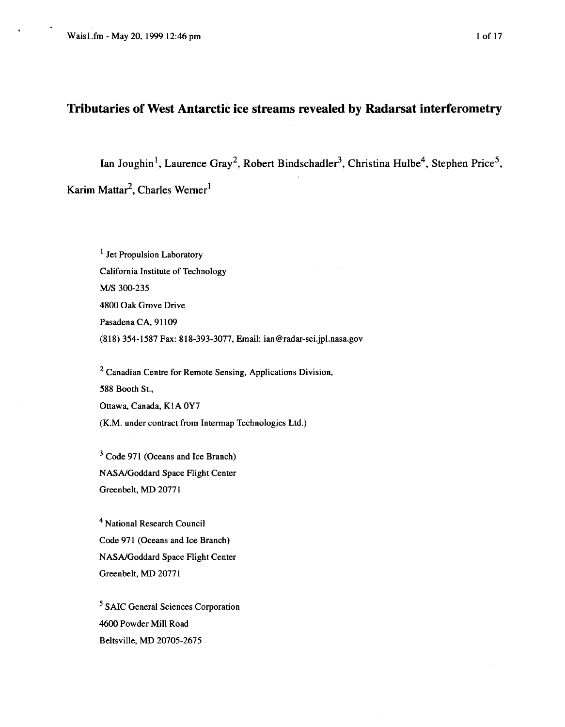# <span id="page-0-0"></span>**Tributaries of West Antarctic ice streams revealed by Radarsat interferometry**

Ian Joughin<sup>1</sup>, Laurence Gray<sup>2</sup>, Robert Bindschadler<sup>3</sup>, Christina Hulbe<sup>4</sup>, Stephen Price<sup>5</sup>, Karim Mattar<sup>2</sup>, Charles Werner<sup>1</sup>

 $<sup>1</sup>$  Jet Propulsion Laboratory</sup> California Institute of Technology *WS* 300-235 4800 Oak Grove Drive Pasadena CA, 91109 (81 8) 354-1 587 Fax: 8 18-393-3077, Email: **[ian@radar-sci.jpl.nasa.gov](mailto:ian@radar-sci.jpl.nasa.gov)** 

<sup>2</sup> Canadian Centre for Remote Sensing, Applications Division, 588 Booth St., Ottawa, Canada, K1A OY7 (K.M. under contract from Intermap Technologies Ltd.)

 $3$  Code 971 (Oceans and Ice Branch) NASNGoddard Space Flight Center Greenbelt, **MD** 2077 1

National Research Council Code 971 (Oceans and Ice Branch) NASNGoddard Space Flight Center Greenbelt, **MD** 2077 1

SAIC General Sciences Corporation 4600 Powder Mill Road Beltsville, **MD** 20705-2675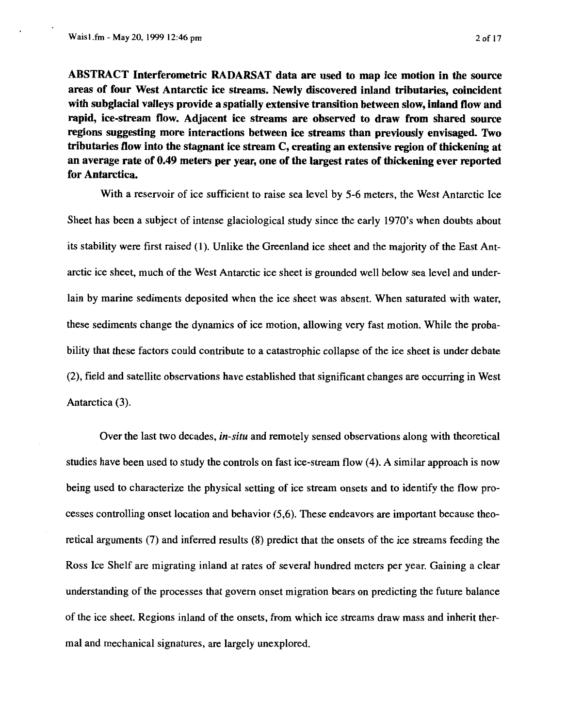**ABSTRACT Interferometric RADARSAT data are used to map ice motion in the source areas of four West Antarctic ice streams. Newly discovered inland tributaries, coincident with subglacial valleys provide a spatially extensive transition between slow, inland flow and rapid, ice-stream flow. Adjacent ice streams are observed to draw from shared source regions suggesting more interactions between ice streams than previously envisaged. Two tributaries flow into the stagnant ice stream C, creating an extensive region of thickening at an average rate of 0.49 meters per year, one of the largest rates of thickening ever reported for Antarctica.** 

With a reservoir of ice sufficient to raise sea level by *5-6* meters, the West Antarctic Ice Sheet has been a subject of intense glaciological study since the early 1970's when doubts about its stability were first raised (1). Unlike the Greenland ice sheet and the majority of the East Antarctic ice sheet, much of the West Antarctic ice sheet is grounded well below sea level and underlain by marine sediments deposited when the ice sheet was absent. When saturated with water, these sediments change the dynamics of ice motion, allowing very fast motion. While the probability that these factors could contribute to a catastrophic collapse of the ice sheet is under debate **(2),** field and satellite observations have established that significant changes are occurring in West Antarctica **(3).** 

Over the last two decades, *in-situ* and remotely sensed observations along with theoretical studies have been used to study the controls on fast ice-stream flow **(4).** A similar approach is now being used to characterize the physical setting of ice stream onsets and to identify the flow processes controlling onset location and behavior *(5,6).* These endeavors are important because theoretical arguments (7) and inferred results **(8)** predict that the onsets of the ice streams feeding the Ross Ice Shelf are migrating inland at rates of several hundred meters per year. Gaining a clear understanding of the processes that govern onset migration bears on predicting the future balance of the ice sheet. Regions inland of the onsets, from which ice streams draw mass and inherit thermal and mechanical signatures, are largely unexplored.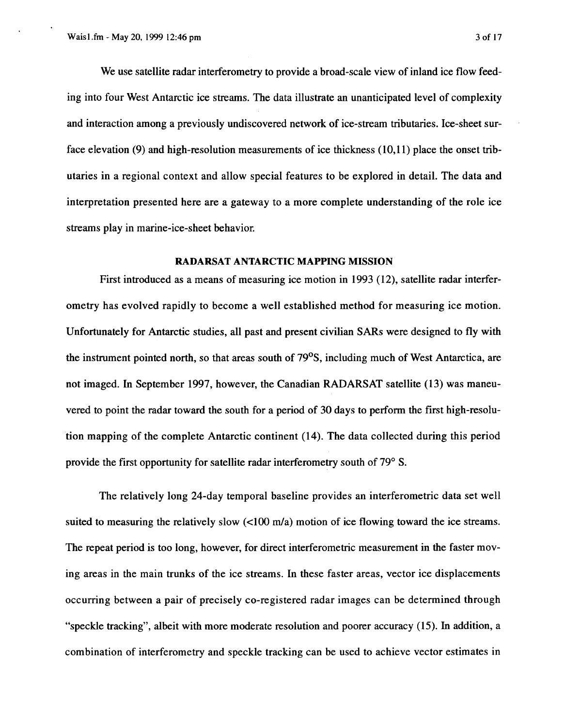We use satellite radar interferometry to provide a broad-scale view of inland ice flow feeding into four West Antarctic ice streams. The data illustrate an unanticipated level of complexity and interaction among a previously undiscovered network of ice-stream tributaries. Ice-sheet surface elevation **(9)** and high-resolution measurements of ice thickness **(10,ll)** place the onset tributaries in a regional context and allow special features to be explored in detail. The data and interpretation presented here are a gateway to a more complete understanding of the role ice streams play in marine-ice-sheet behavior.

## **RADARSAT ANTARCTIC MAPPING MISSION**

First introduced as a means of measuring ice motion in **1993** (12), satellite radar interferometry has evolved rapidly to become a well established method for measuring ice motion. Unfortunately for Antarctic studies, all past and present civilian *SARs* were designed to fly with the instrument pointed north, so that areas south of 79<sup>o</sup>S, including much of West Antarctica, are not imaged. In September **1997,** however, the Canadian RADARSAT satellite (13) was maneuvered to point the radar toward the south for a period of 30 days to perform the first high-resolution mapping of the complete Antarctic continent **(14).** The data collected during this period provide the first opportunity for satellite radar interferometry south of **79" S.** 

The relatively long 24-day temporal baseline provides an interferometric data set well suited to measuring the relatively slow  $\left($ <100 m/a) motion of ice flowing toward the ice streams. The repeat period is too long, however, for direct interferometric measurement in the faster moving areas in the main trunks of the ice streams. In these faster areas, vector ice displacements occurring between a pair of precisely co-registered radar images can be determined through "speckle tracking", albeit with more moderate resolution and poorer accuracy (15). In addition, a combination of interferometry and speckle tracking can be used to achieve vector estimates in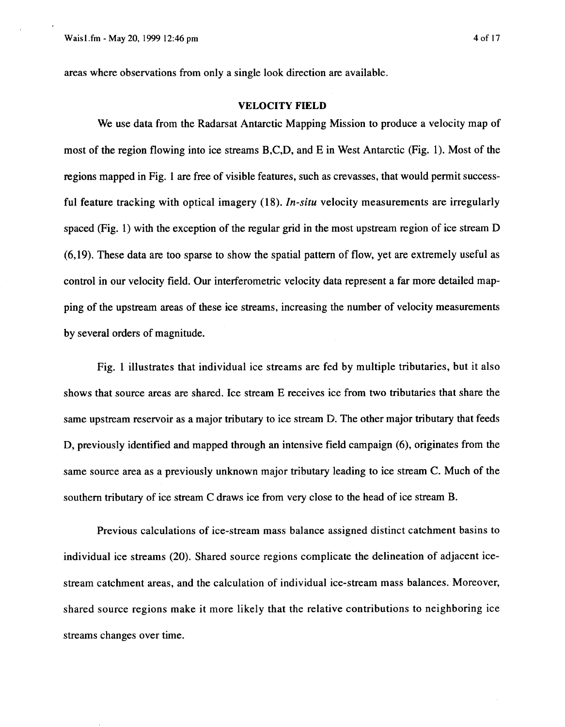areas where observations from only a single look direction are available.

### **VELOCITY FIELD**

We use data from the Radarsat Antarctic Mapping Mission to produce a velocity map of most of the region flowing into ice streams B,C,D, and E in West Antarctic (Fig. 1). Most of the regions mapped in Fig. **1** are free of visible features, such as crevasses, that would permit successful feature tracking with optical imagery **(1 8).** *In-situ* velocity measurements are irregularly spaced (Fig. 1) with the exception of the regular grid in the most upstream region of ice stream D **(6,19).** These data are too sparse to show the spatial pattern of flow, yet are extremely useful as control in our velocity field. Our interferometric velocity data represent a far more detailed mapping of the upstream areas of these ice streams, increasing the number of velocity measurements by several orders of magnitude.

Fig. 1 illustrates that individual ice streams are fed by multiple tributaries, but it also shows that source areas are shared. Ice stream E receives ice from two tributaries that share the same upstream reservoir as a major tributary to ice stream D. The other major tributary that feeds D, previously identified and mapped through an intensive field campaign **(6),** originates from the same source area as a previously unknown major tributary leading to ice stream C. Much of the southern tributary of ice stream C draws ice from very close to the head of ice stream B.

Previous calculations of ice-stream mass balance assigned distinct catchment basins to individual ice streams **(20).** Shared source regions complicate the delineation of adjacent icestream catchment areas, and the calculation of individual ice-stream mass balances. Moreover, shared source regions make it more likely that the relative contributions to neighboring ice streams changes over time.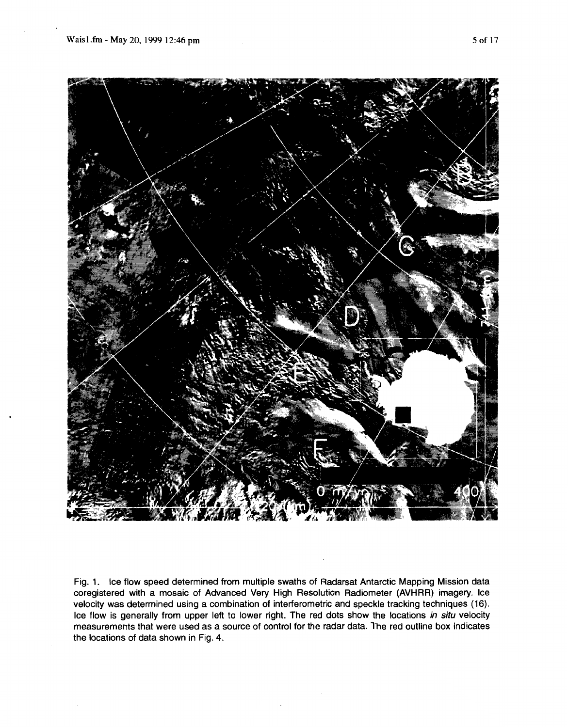

Fig. **1.** Ice flow speed determined from multiple swaths of Radarsat Antarctic Mapping Mission data coregistered with a mosaic of Advanced Very High Resolution Radiometer (AVHRR) imagery. Ice velocity was determined using a combination of interferometric and speckle tracking techniques (16). Ice flow is generally from upper left to lower right. The red dots show the locations *in situ* velocity measurements that were used as a source of control for the radar data. The red outline box indicates the locations of data shown in Fig. **4.**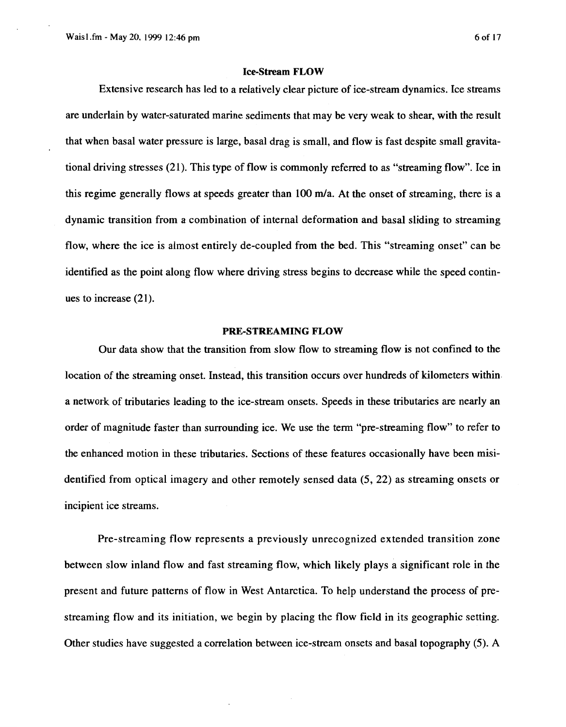Extensive research has led to a relatively clear picture of ice-stream dynamics. Ice streams are underlain by water-saturated marine sediments that may be very weak to shear, with the result that when basal water pressure is large, basal drag is small, and flow is fast despite small gravitational driving stresses (21). This type of flow is commonly referred to as "streaming flow". Ice in this regime generally flows at speeds greater than  $100 \text{ m/a}$ . At the onset of streaming, there is a dynamic transition from a combination of internal deformation and basal sliding to streaming flow, where the ice is almost entirely de-coupled from the bed. This "streaming onset" can be identified as the point along flow where driving stress begins to decrease while the speed continues to increase (21).

## **PRE-STREAMING FLOW**

Our data show that the transition from slow flow to streaming flow is not confined to the location of the streaming onset. Instead, this transition occurs over hundreds of kilometers within. a network of tributaries leading to the ice-stream onsets. Speeds in these tributaries are nearly an order of magnitude faster than surrounding ice. We use the term "pre-streaming flow" to refer to the enhanced motion in these tributaries. Sections of these features occasionally have been misidentified from optical imagery and other remotely sensed data (5, **22)** as streaming onsets or incipient ice streams.

Pre-streaming flow represents a previously unrecognized extended transition zone between slow inland flow and fast streaming flow, which likely plays a significant role in the present and future patterns of flow in West Antarctica. To help understand the process of prestreaming flow and its initiation, we begin by placing the flow field in its geographic setting. Other studies have suggested a correlation between ice-stream onsets and basal topography (5). A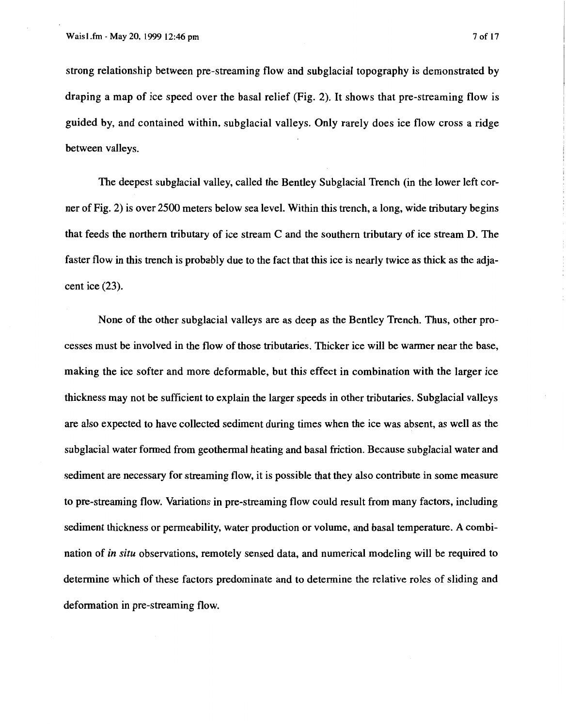strong relationship between pre-streaming flow and subglacial topography is demonstrated by draping a map of ice speed over the basal relief (Fig. **2).** It shows that pre-streaming flow is guided by, and contained within, subglacial valleys. Only rarely does ice flow cross a ridge between valleys.

The deepest subglacial valley, called the Bentley Subglacial Trench (in the lower left corner of Fig. **2)** is over 2500 meters below sea level. Within this trench, a long, wide tributary begins that feeds the northern tributary of ice stream **C** and the southern tributary of ice stream D. The faster flow in this trench is probably due to the fact that this ice is nearly twice as thick as the adjacent ice **(23).** 

None of the other subglacial valleys are as deep as the Bentley Trench. Thus, other processes must be involved in the flow of those tributaries. Thicker ice will be warmer near the base, making the ice softer and more deformable, but this effect in combination with the larger ice thickness may not be sufficient to explain the larger speeds in other tributaries. Subglacial valleys are also expected to have collected sediment during times when the ice was absent, as well as the subglacial water formed from geothermal heating and basal friction. Because subglacial water and sediment are necessary for streaming flow, it is possible that they also contribute in some measure to pre-streaming flow. Variations in pre-streaming flow could result from many factors, including sediment thickness or permeability, water production or volume, and basal temperature. **A** combination of *in situ* observations, remotely sensed data, and numerical modeling will be required to determine which of these factors predominate and to determine the relative roles of sliding and deformation in pre-streaming flow.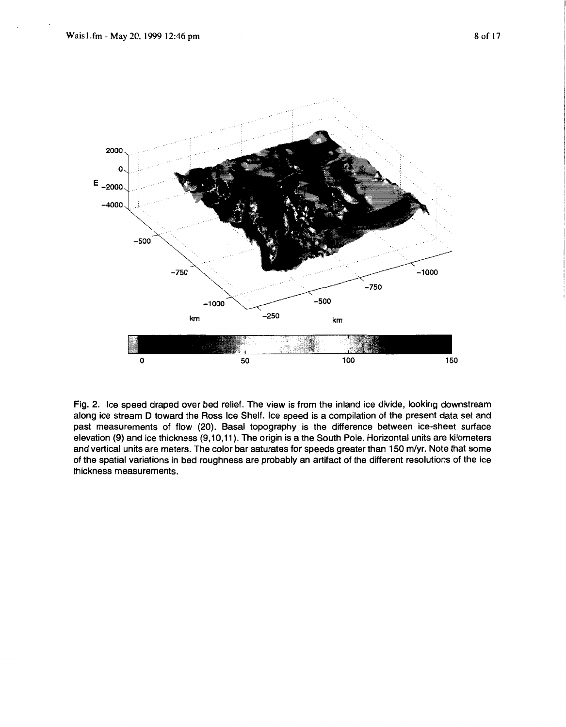

Fig. *2.* Ice speed draped over bed relief. The view is from the inland ice divide, looking downstream along ice stream D toward the **Ross** Ice Shelf. Ice speed is a compilation of the present data set and past measurements of flow *(20).* Basal topography is the difference between ice-sheet surface elevation (9) and ice thickness (9,10,11). The origin is a the South Pole. Horizontal units are kilometers and vertical units are meters. The color bar saturates for speeds greater than 150 m/yr. Note that some of the spatial variations in bed roughness are probably an artifact of the different resolutions of the ice thickness measurements.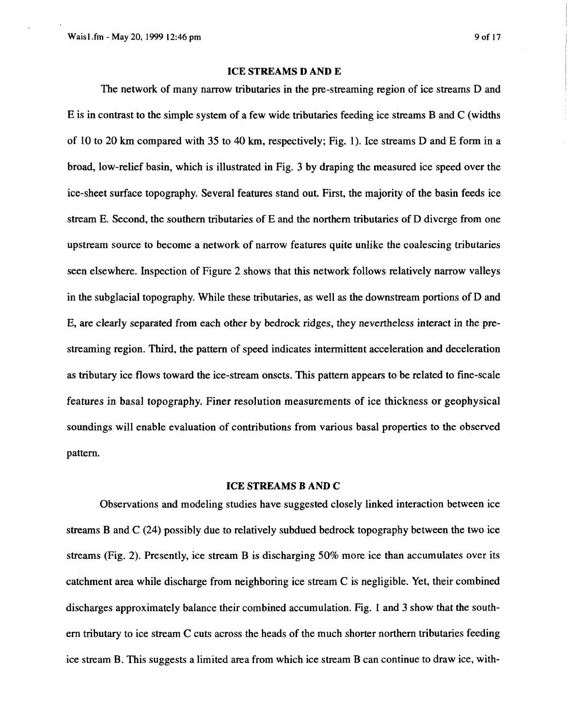## **ICE STREAMS D AND E**

The network of many narrow tributaries in the pre-streaming region of ice streams D and E is in contrast to the simple system of a few wide tributaries feeding ice streams **B** and C (widths of 10 to 20 km compared with **35** to 40 **km,** respectively; Fig. 1). Ice streams D and E form in a broad, low-relief basin, which is illustrated in Fig. **3** by draping the measured ice speed over the ice-sheet surface topography. Several features stand out. First, the majority of the basin feeds ice stream E. Second, the southern tributaries of E and the northern tributaries of D diverge from one upstream source to become a network of narrow features quite unlike the coalescing tributaries seen elsewhere. Inspection of Figure **2** shows that this network follows relatively narrow valleys in the subglacial topography. While these tributaries, as well as the downstream portions of D and E, are clearly separated from each other by bedrock ridges, they nevertheless interact in the prestreaming region. Third, the pattern of speed indicates intermittent acceleration and deceleration as tributary ice flows toward the ice-stream onsets. This pattern appears to be related to fine-scale features in basal topography. Finer resolution measurements of ice thickness or geophysical soundings will enable evaluation of contributions from various basal properties to the observed pattern.

## **ICE STREAMS B AND C**

Observations and modeling studies have suggested closely linked interaction between ice streams **B** and C **(24)** possibly due to relatively subdued bedrock topography between the two ice streams (Fig. **2).** Presently, ice stream **B** is discharging 50% more ice than accumulates over its catchment area while discharge from neighboring ice stream **C** is negligible. Yet, their combined discharges approximately balance their combined accumulation. Fig. **1** and **3** show that the southern tributary to ice stream C cuts across the heads of the much shorter northern tributaries feeding ice stream **B.** This suggests a limited area from which ice stream B can continue to draw ice, with-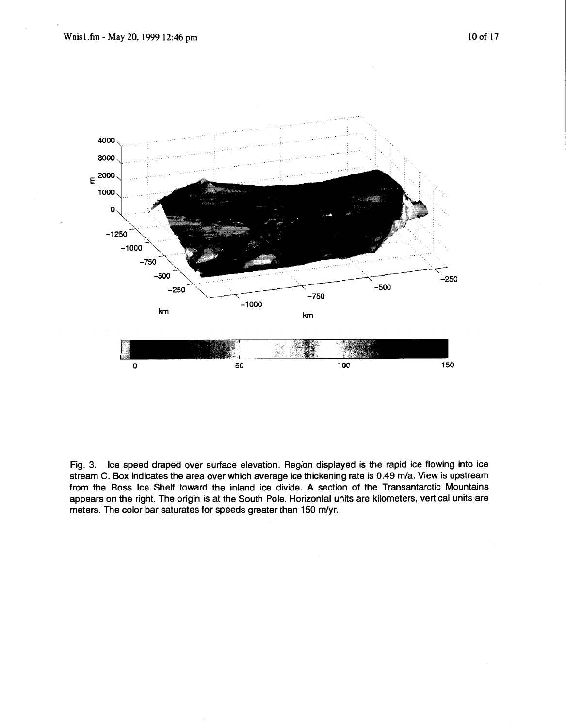

Fig. **3.** Ice speed draped over surface elevation. Region displayed is the rapid ice flowing into ice stream **C. Box** indicates the area over which average ice thickening rate is **0.49** m/a. View is upstream from the **Ross** Ice Shelf toward the inland ice divide. **A** section of the Transantarctic Mountains appears on the right. The origin is at the South Pole. Horizontal units are kilometers, vertical units are meters. The color bar saturates for speeds greater than 150 m/yr.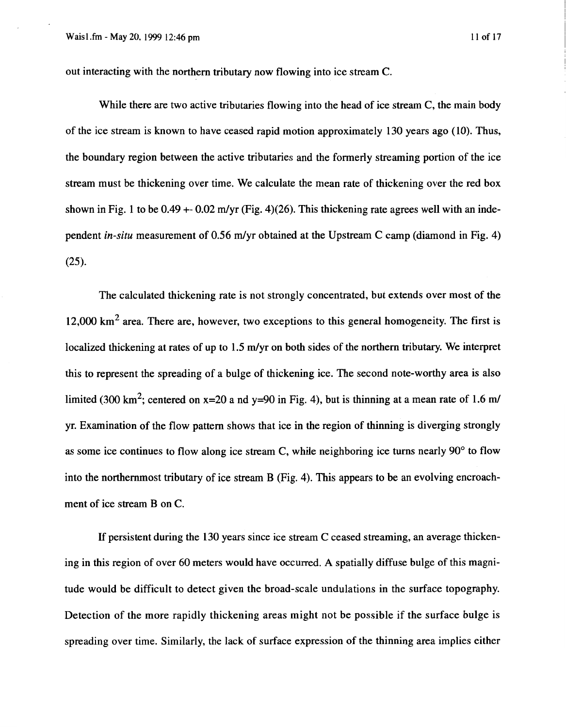out interacting with the northern tributary now flowing into ice stream **C.** 

While there are two active tributaries flowing into the head of ice stream **C,** the main body of the ice stream is known to have ceased rapid motion approximately 130 years ago (10). Thus, the boundary region between the active tributaries and the formerly streaming portion of the ice stream must be thickening over time. We calculate the mean rate of thickening over the red box shown in Fig. **1** to be 0.49 +- 0.02 m/yr (Fig. 4)(26). This thickening rate agrees well with an independent *in-situ* measurement of 0.56 m/yr obtained at the Upstream **C** camp (diamond in Fig. 4) (25).

The calculated thickening rate is not strongly concentrated, but extends over most of the 12,000 **km2** area. There are, however, two exceptions to this general homogeneity. The first is localized thickening at rates of up to **1.5** m/yr on both sides of the northern tributary. We interpret this to represent the spreading of a bulge of thickening ice. The second note-worthy area is also limited (300 km<sup>2</sup>; centered on x=20 a nd y=90 in Fig. 4), but is thinning at a mean rate of 1.6 m/ yr. Examination of the flow pattern shows that ice in the region of thinning is diverging strongly as some ice continues to flow along ice stream **C,** while neighboring ice turns nearly 90' to flow into the northernmost tributary of ice stream B (Fig. **4).** This appears to be an evolving encroachment of ice stream **B** on **C.** 

If persistent during the 130 years since ice stream **C** ceased streaming, an average thickening in this region of over *60* meters would have occurred. **A** spatially diffuse bulge of this magnitude would be difficult to detect given the broad-scale undulations in the surface topography. Detection of the more rapidly thickening areas might not be possible if the surface bulge is spreading over time. Similarly, the lack of surface expression of the thinning area implies either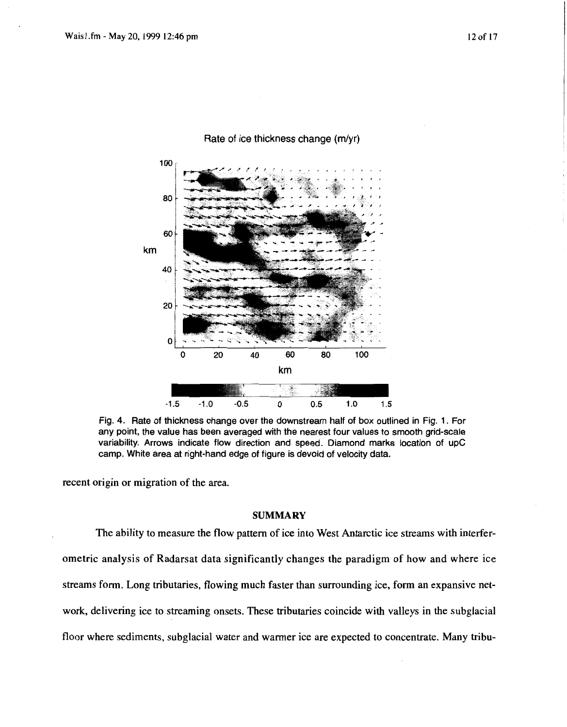

Rate of ice thickness change **(m/yr)** 

Fig. **4.** Rate of thickness change over the downstream half of **box** outlined in Fig. **1.** For any point, the value has been averaged with the nearest four values to smooth grid-scale variability. Arrows indicate flow direction and speed. Diamond marks location of upC camp. White area at right-hand edge of figure is devoid of velocity data.

recent origin or migration of the area.

## **SUMMARY**

The ability to measure the flow pattern of ice into West Antarctic ice streams with interferometric analysis of Radarsat data significantly changes the paradigm of how and where ice streams form. Long tributaries, flowing much faster than surrounding ice, form an expansive network, delivering ice to streaming onsets. These tributaries coincide with valleys in the subglacial floor where sediments, subglacial water and warmer ice are expected to concentrate. Many tribu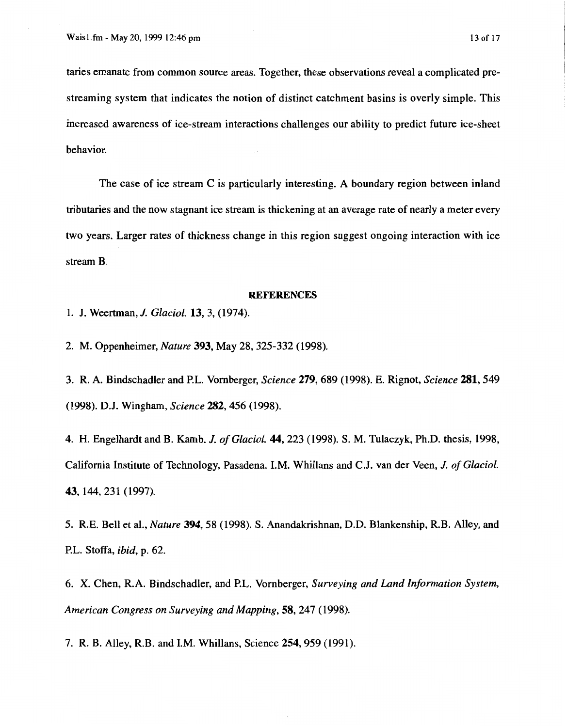taries emanate from common source areas. Together, these observations reveal a complicated prestreaming system that indicates the notion of distinct catchment basins is overly simple. This increased awareness of ice-stream interactions challenges our ability to predict future ice-sheet behavior.

The case of ice stream C is particularly interesting. A boundary region between inland tributaries and the now stagnant ice stream is thickening at an average rate of nearly a meter every two years. Larger rates of thickness change in this region suggest ongoing interaction with ice stream B.

## **REFERENCES**

**1. J.** Weertman, *J. Glaciol.* 13, 3, (1974).

2. M. Oppenheimer, *Nature* 393, May 28,325-332 (1998).

3. R. **A.** Bindschadler and P.L. Vornberger, *Science* 279,689 (1998). E. Rignot, *Science* 281,549 (1998). D.J. Wingham, *Science* 282,456 (1998).

4. H. Engelhardt and B. Kamb. *J. of Glaciol.* **44,** 223 (1998). **S.** M. Tulaczyk, Ph.D. thesis, 1998, California Institute of Technology, Pasadena. I.M. Whillans and C.J. van der Veen, *J. of Glaciol.*  43, 144,231 (1997).

5. R.E. Bell et al., *Nature* 394,58 (1998). **S.** Anandakrishnan, D.D. Blankenship, R.B. Alley, and P.L. Stoffa, *ibid,* p. 62.

6. **X.** Chen, **R.A.** Bindschadler, and P.L. Vornberger, *Surveying and Land Information System, American Congress on Surveying and Mapping,* 58,247 (1998).

7. R. B. Alley, R.B. and I.M. Whillans, Science 254,959 (1991).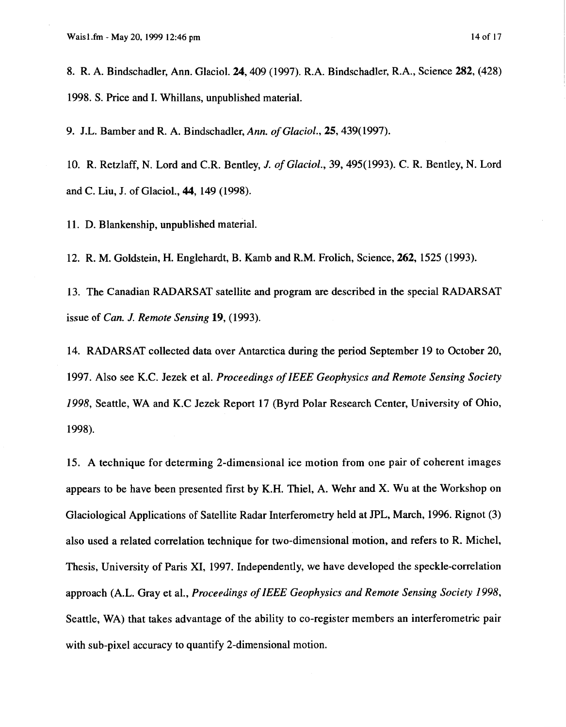**8.** R. A. Bindschadler, Ann. Glaciol. **24,409 (1997).** R.A. Bindschadler, R.A., Science **282, (428) 1998. S.** Price and **I.** Whillans, unpublished material.

**9.** J.L. Bamber and R. A. Bindschadler, *Ann. of Glaciol.,* **25,439( 1997).** 

**10. R.** Retzlaff, **N.** Lord and C.R. Bentley, *J. of Glaciol.,* **39, 495(1993).** C. R. Bentley, **N.** Lord and C. Liu, J. of Glaciol., **44, 149 (1998).** 

**11.** D. Blankenship, unpublished material.

**12.** R. M. Goldstein, **H.** Englehardt, B. Kamb and R.M. Frolich, Science, **262, 1525 (1993).** 

**13.** The Canadian RADARSAT satellite and program are described in the special RADARSAT issue of *Can. J. Remote Sensing* **19, (1993).** 

**14.** RADARSAT collected data over Antarctica during the period September **19** to October 20, **1997.** Also see KC. Jezek et al. *Proceedings of IEEE Geophysics and Remote Sensing Society 1998,* Seattle, WA and K.C Jezek Report **17** (Byrd Polar Research Center, University of Ohio, **1998).** 

**15.** A technique for determing 2-dimensional ice motion from one pair of coherent images appears to be have been presented first by K.H. Thiel, A. Wehr and **X.** Wu at the Workshop on Glaciological Applications of Satellite Radar Interferometry held at JPL, March, **1996.** Rignot **(3)**  also used a related correlation technique for two-dimensional motion, and refers to R. Michel, Thesis, University of Paris **XI, 1997.** Independently, we have developed the speckle-correlation approach (A.L. Gray et al., *Proceedings of IEEE Geophysics and Remote Sensing Society 1998,*  Seattle, WA) that takes advantage of the ability to co-register members an interferometric pair with sub-pixel accuracy to quantify 2-dimensional motion.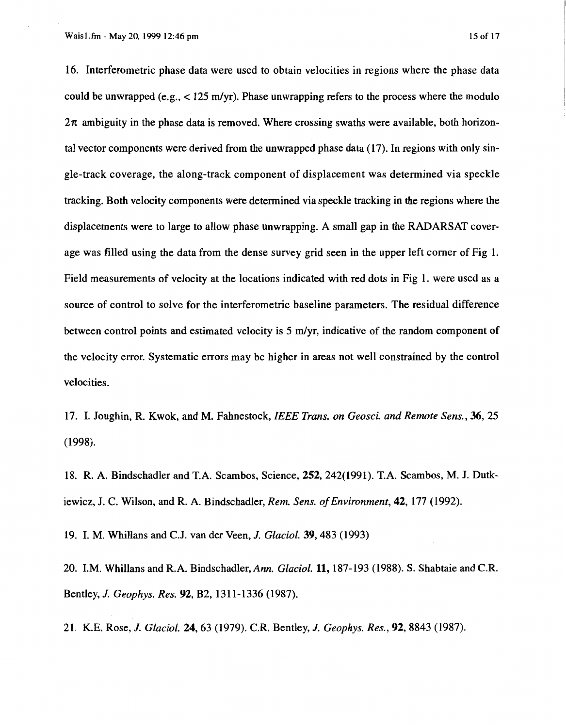16. Interferometric phase data were used to obtain velocities in regions where the phase data could be unwrapped (e.g.,  $\lt 125$  m/yr). Phase unwrapping refers to the process where the modulo  $2\pi$  ambiguity in the phase data is removed. Where crossing swaths were available, both horizontal vector components were derived from the unwrapped phase data (17). In regions with only single-track coverage, the along-track component of displacement was determined via speckle tracking. Both velocity components were determined via speckle tracking in the regions where the displacements were to large to allow phase unwrapping. A small gap in the RADARSAT coverage was filled using the data from the dense survey grid seen in the upper left corner of Fig 1. Field measurements of velocity at the locations indicated with red dots in Fig 1. were used as a source of control to solve for the interferometric baseline parameters. The residual difference between control points and estimated velocity is  $5 \text{ m/yr}$ , indicative of the random component of the velocity error. Systematic errors may be higher in areas not well constrained by the control velocities.

17. I. Joughin, R. Kwok, and M. Fahnestock, *IEEE Trans. on Geosci. and Remote Sens.,* **36, 25**  (1998).

18. R. A. Bindschadler and T.A. Scambos, Science, 252,242(1991). T.A. Scambos, **M.** J. Dutkiewicz, J. C. Wilson, and R. A. Bindschadler, *Rem. Sens. of Environment*, **42**, 177 (1992).

19. I. M. Whillans and C.J. van der Veen, *J. Glaciol.* 39,483 (1993)

20. I.M. Whillans and R.A. Bindschadler, *Ann. Gluciol.* 11,187-193 (1988). **S.** Shabtaie and C.R. Bentley, *J. Geophys. Res.* 92, B2, 13 1 1- 1336 (1987).

21. K.E. Rose, *J. Gluciol.* 24,63 (1979). C.R. Bentley, *J. Geophys. Res.,* 92,8843 (1987).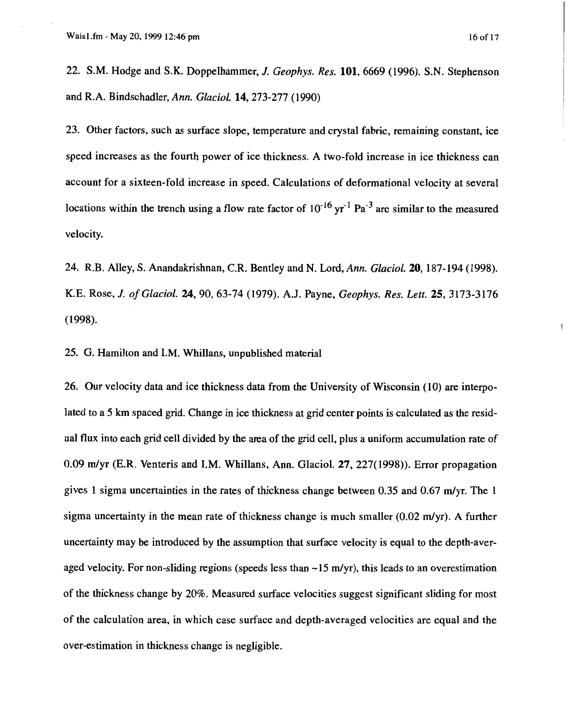$\mathbf{I}$ 

22. S.M. Hodge and S.K. Doppelhammer, *J. Geophys. Res.* 101,6669 (1996). **S.N.** Stephenson and R.A. Bindschadler, *Ann. Glaciol.* 14,273-277 (1990)

23. Other factors, such as surface slope, temperature and crystal fabric, remaining constant, ice speed increases as the fourth power of ice thickness. A two-fold increase in ice thickness can account for a sixteen-fold increase in speed. Calculations of deformational velocity at several locations within the trench using a flow rate factor of  $10^{-16}$  vr<sup>-1</sup> Pa<sup>-3</sup> are similar to the measured velocity.

24. R.B. Alley, **S.** Anandakrishnan, C.R. Bentley and N. Lord, *Ann. Glaciol.* 20, 187-194 (1998). K.E. Rose, *J. of Glaciol.* 24,90, 63-74 (1979). A.J. Payne, *Geophys. Res. Lett.* 25, 3173-3176 (1998).

25. G. Hamilton and I.M. Whillans, unpublished material

26. Our velocity data and ice thickness data from the University of Wisconsin (10) are interpolated to a 5 **km** spaced grid. Change in ice thickness at grid center points is calculated as the residual flux into each grid cell divided by the area of the grid cell, plus a uniform accumulation rate of 0.09 m/yr (E.R. Venteris and I.M. Whillans, Ann. Glaciol. 27, 227(1998)). Error propagation gives 1 sigma uncertainties in the rates of thickness change between 0.35 and 0.67 m/vr. The 1 sigma uncertainty in the mean rate of thickness change is much smaller  $(0.02 \text{ m/yr})$ . A further uncertainty may be introduced by the assumption that surface velocity is equal to the depth-averaged velocity. For non-sliding regions (speeds less than  $\sim$  15 m/yr), this leads to an overestimation of the thickness change by 20%. Measured surface velocities suggest significant sliding for most of the calculation area, in which case surface and depth-averaged velocities are equal and the over-estimation in thickness change is negligible.